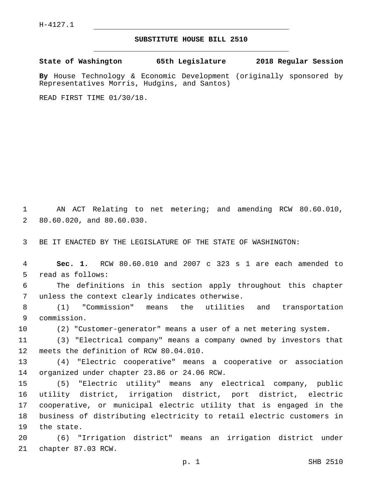## **SUBSTITUTE HOUSE BILL 2510**

**State of Washington 65th Legislature 2018 Regular Session**

**By** House Technology & Economic Development (originally sponsored by Representatives Morris, Hudgins, and Santos)

READ FIRST TIME 01/30/18.

1 AN ACT Relating to net metering; and amending RCW 80.60.010, 2 80.60.020, and 80.60.030.

3 BE IT ENACTED BY THE LEGISLATURE OF THE STATE OF WASHINGTON:

4 **Sec. 1.** RCW 80.60.010 and 2007 c 323 s 1 are each amended to 5 read as follows:

6 The definitions in this section apply throughout this chapter 7 unless the context clearly indicates otherwise.

8 (1) "Commission" means the utilities and transportation 9 commission.

10 (2) "Customer-generator" means a user of a net metering system.

11 (3) "Electrical company" means a company owned by investors that 12 meets the definition of RCW 80.04.010.

13 (4) "Electric cooperative" means a cooperative or association 14 organized under chapter 23.86 or 24.06 RCW.

 (5) "Electric utility" means any electrical company, public utility district, irrigation district, port district, electric cooperative, or municipal electric utility that is engaged in the business of distributing electricity to retail electric customers in 19 the state.

20 (6) "Irrigation district" means an irrigation district under 21 chapter 87.03 RCW.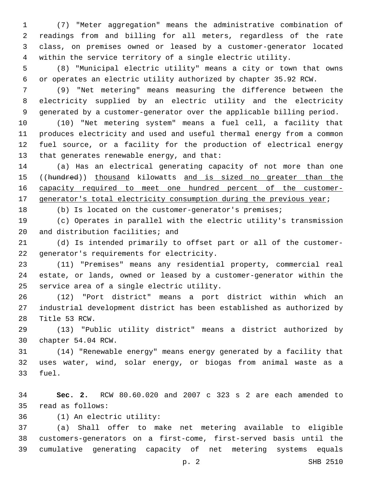(7) "Meter aggregation" means the administrative combination of readings from and billing for all meters, regardless of the rate class, on premises owned or leased by a customer-generator located within the service territory of a single electric utility.

 (8) "Municipal electric utility" means a city or town that owns or operates an electric utility authorized by chapter 35.92 RCW.

 (9) "Net metering" means measuring the difference between the electricity supplied by an electric utility and the electricity generated by a customer-generator over the applicable billing period.

 (10) "Net metering system" means a fuel cell, a facility that produces electricity and used and useful thermal energy from a common fuel source, or a facility for the production of electrical energy 13 that generates renewable energy, and that:

 (a) Has an electrical generating capacity of not more than one 15 ((hundred)) thousand kilowatts and is sized no greater than the 16 capacity required to meet one hundred percent of the customer-17 generator's total electricity consumption during the previous year;

(b) Is located on the customer-generator's premises;

 (c) Operates in parallel with the electric utility's transmission 20 and distribution facilities; and

 (d) Is intended primarily to offset part or all of the customer-22 generator's requirements for electricity.

 (11) "Premises" means any residential property, commercial real estate, or lands, owned or leased by a customer-generator within the 25 service area of a single electric utility.

 (12) "Port district" means a port district within which an industrial development district has been established as authorized by 28 Title 53 RCW.

 (13) "Public utility district" means a district authorized by 30 chapter 54.04 RCW.

 (14) "Renewable energy" means energy generated by a facility that uses water, wind, solar energy, or biogas from animal waste as a 33 fuel.

 **Sec. 2.** RCW 80.60.020 and 2007 c 323 s 2 are each amended to 35 read as follows:

(1) An electric utility:36

 (a) Shall offer to make net metering available to eligible customers-generators on a first-come, first-served basis until the cumulative generating capacity of net metering systems equals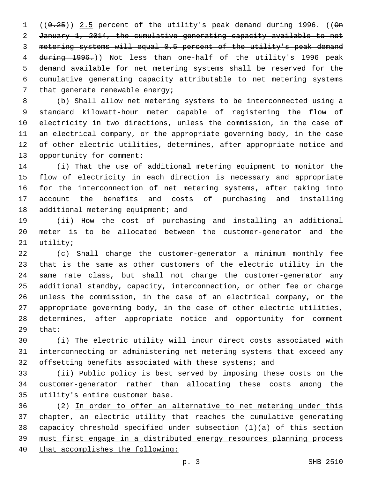$((0.25))$  2.5 percent of the utility's peak demand during 1996. (( $\Theta$ n January 1, 2014, the cumulative generating capacity available to net metering systems will equal 0.5 percent of the utility's peak demand during 1996.)) Not less than one-half of the utility's 1996 peak demand available for net metering systems shall be reserved for the cumulative generating capacity attributable to net metering systems 7 that generate renewable energy;

 (b) Shall allow net metering systems to be interconnected using a standard kilowatt-hour meter capable of registering the flow of electricity in two directions, unless the commission, in the case of an electrical company, or the appropriate governing body, in the case of other electric utilities, determines, after appropriate notice and 13 opportunity for comment:

 (i) That the use of additional metering equipment to monitor the flow of electricity in each direction is necessary and appropriate for the interconnection of net metering systems, after taking into account the benefits and costs of purchasing and installing 18 additional metering equipment; and

 (ii) How the cost of purchasing and installing an additional meter is to be allocated between the customer-generator and the 21 utility;

 (c) Shall charge the customer-generator a minimum monthly fee that is the same as other customers of the electric utility in the same rate class, but shall not charge the customer-generator any additional standby, capacity, interconnection, or other fee or charge unless the commission, in the case of an electrical company, or the appropriate governing body, in the case of other electric utilities, determines, after appropriate notice and opportunity for comment 29 that:

 (i) The electric utility will incur direct costs associated with interconnecting or administering net metering systems that exceed any offsetting benefits associated with these systems; and

 (ii) Public policy is best served by imposing these costs on the customer-generator rather than allocating these costs among the 35 utility's entire customer base.

 (2) In order to offer an alternative to net metering under this chapter, an electric utility that reaches the cumulative generating capacity threshold specified under subsection (1)(a) of this section must first engage in a distributed energy resources planning process that accomplishes the following: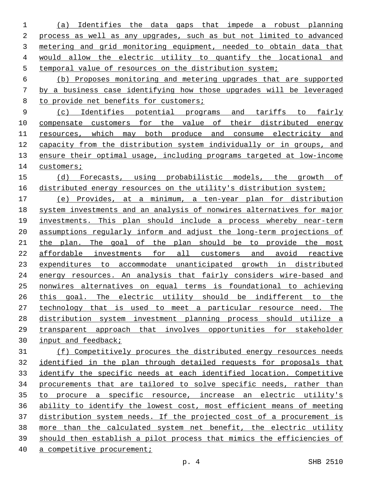(a) Identifies the data gaps that impede a robust planning 2 process as well as any upgrades, such as but not limited to advanced metering and grid monitoring equipment, needed to obtain data that would allow the electric utility to quantify the locational and temporal value of resources on the distribution system;

 (b) Proposes monitoring and metering upgrades that are supported by a business case identifying how those upgrades will be leveraged to provide net benefits for customers;

 (c) Identifies potential programs and tariffs to fairly compensate customers for the value of their distributed energy 11 resources, which may both produce and consume electricity and capacity from the distribution system individually or in groups, and ensure their optimal usage, including programs targeted at low-income 14 customers;

 (d) Forecasts, using probabilistic models, the growth of distributed energy resources on the utility's distribution system;

 (e) Provides, at a minimum, a ten-year plan for distribution system investments and an analysis of nonwires alternatives for major investments. This plan should include a process whereby near-term assumptions regularly inform and adjust the long-term projections of 21 the plan. The goal of the plan should be to provide the most affordable investments for all customers and avoid reactive expenditures to accommodate unanticipated growth in distributed energy resources. An analysis that fairly considers wire-based and nonwires alternatives on equal terms is foundational to achieving this goal. The electric utility should be indifferent to the technology that is used to meet a particular resource need. The distribution system investment planning process should utilize a transparent approach that involves opportunities for stakeholder input and feedback;

 (f) Competitively procures the distributed energy resources needs identified in the plan through detailed requests for proposals that identify the specific needs at each identified location. Competitive procurements that are tailored to solve specific needs, rather than to procure a specific resource, increase an electric utility's ability to identify the lowest cost, most efficient means of meeting distribution system needs. If the projected cost of a procurement is more than the calculated system net benefit, the electric utility should then establish a pilot process that mimics the efficiencies of a competitive procurement;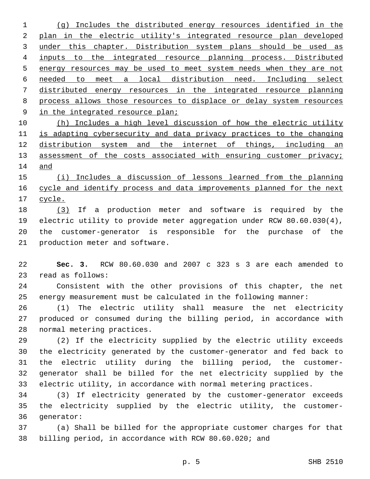(g) Includes the distributed energy resources identified in the plan in the electric utility's integrated resource plan developed 3 under this chapter. Distribution system plans should be used as inputs to the integrated resource planning process. Distributed energy resources may be used to meet system needs when they are not needed to meet a local distribution need. Including select distributed energy resources in the integrated resource planning process allows those resources to displace or delay system resources 9 in the integrated resource plan;

 (h) Includes a high level discussion of how the electric utility is adapting cybersecurity and data privacy practices to the changing distribution system and the internet of things, including an 13 assessment of the costs associated with ensuring customer privacy; and

 (i) Includes a discussion of lessons learned from the planning cycle and identify process and data improvements planned for the next cycle.

 (3) If a production meter and software is required by the electric utility to provide meter aggregation under RCW 80.60.030(4), the customer-generator is responsible for the purchase of the 21 production meter and software.

 **Sec. 3.** RCW 80.60.030 and 2007 c 323 s 3 are each amended to 23 read as follows:

 Consistent with the other provisions of this chapter, the net energy measurement must be calculated in the following manner:

 (1) The electric utility shall measure the net electricity produced or consumed during the billing period, in accordance with 28 normal metering practices.

 (2) If the electricity supplied by the electric utility exceeds the electricity generated by the customer-generator and fed back to the electric utility during the billing period, the customer- generator shall be billed for the net electricity supplied by the electric utility, in accordance with normal metering practices.

 (3) If electricity generated by the customer-generator exceeds the electricity supplied by the electric utility, the customer-36 qenerator:

 (a) Shall be billed for the appropriate customer charges for that billing period, in accordance with RCW 80.60.020; and